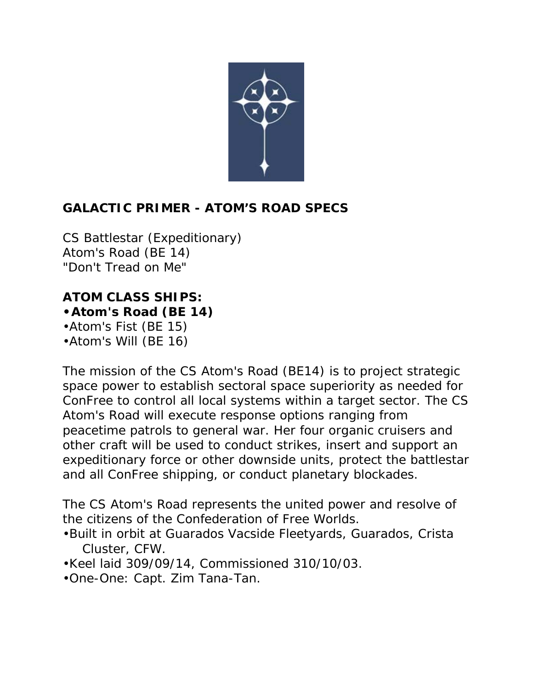

# **GALACTIC PRIMER - ATOM'S ROAD SPECS**

CS Battlestar (Expeditionary) Atom's Road (BE 14) "Don't Tread on Me"

**ATOM CLASS SHIPS: •Atom's Road (BE 14)** •Atom's Fist (BE 15)

•Atom's Will (BE 16)

The mission of the CS Atom's Road (BE14) is to project strategic space power to establish sectoral space superiority as needed for ConFree to control all local systems within a target sector. The CS Atom's Road will execute response options ranging from peacetime patrols to general war. Her four organic cruisers and other craft will be used to conduct strikes, insert and support an expeditionary force or other downside units, protect the battlestar and all ConFree shipping, or conduct planetary blockades.

The CS Atom's Road represents the united power and resolve of the citizens of the Confederation of Free Worlds.

- •Built in orbit at Guarados Vacside Fleetyards, Guarados, Crista Cluster, CFW.
- •Keel laid 309/09/14, Commissioned 310/10/03.
- •One-One: Capt. Zim Tana-Tan.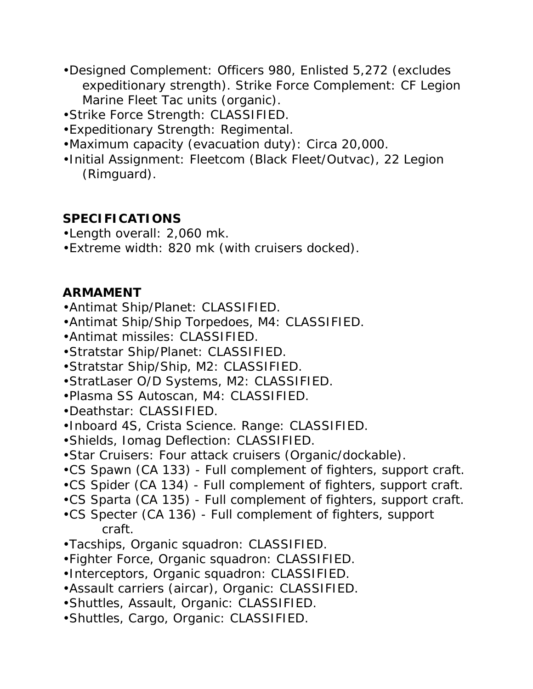- •Designed Complement: Officers 980, Enlisted 5,272 (excludes expeditionary strength). Strike Force Complement: CF Legion Marine Fleet Tac units (organic).
- •Strike Force Strength: CLASSIFIED.
- •Expeditionary Strength: Regimental.
- •Maximum capacity (evacuation duty): Circa 20,000.
- •Initial Assignment: Fleetcom (Black Fleet/Outvac), 22 Legion (Rimguard).

### **SPECIFICATIONS**

- •Length overall: 2,060 mk.
- •Extreme width: 820 mk (with cruisers docked).

## **ARMAMENT**

- •Antimat Ship/Planet: CLASSIFIED.
- •Antimat Ship/Ship Torpedoes, M4: CLASSIFIED.
- •Antimat missiles: CLASSIFIED.
- •Stratstar Ship/Planet: CLASSIFIED.
- •Stratstar Ship/Ship, M2: CLASSIFIED.
- •StratLaser O/D Systems, M2: CLASSIFIED.
- •Plasma SS Autoscan, M4: CLASSIFIED.
- •Deathstar: CLASSIFIED.
- •Inboard 4S, Crista Science. Range: CLASSIFIED.
- •Shields, Iomag Deflection: CLASSIFIED.
- •Star Cruisers: Four attack cruisers (Organic/dockable).
- •CS Spawn (CA 133) Full complement of fighters, support craft.
- •CS Spider (CA 134) Full complement of fighters, support craft.
- •CS Sparta (CA 135) Full complement of fighters, support craft.
- •CS Specter (CA 136) Full complement of fighters, support craft.
- •Tacships, Organic squadron: CLASSIFIED.
- •Fighter Force, Organic squadron: CLASSIFIED.
- •Interceptors, Organic squadron: CLASSIFIED.
- •Assault carriers (aircar), Organic: CLASSIFIED.
- •Shuttles, Assault, Organic: CLASSIFIED.
- •Shuttles, Cargo, Organic: CLASSIFIED.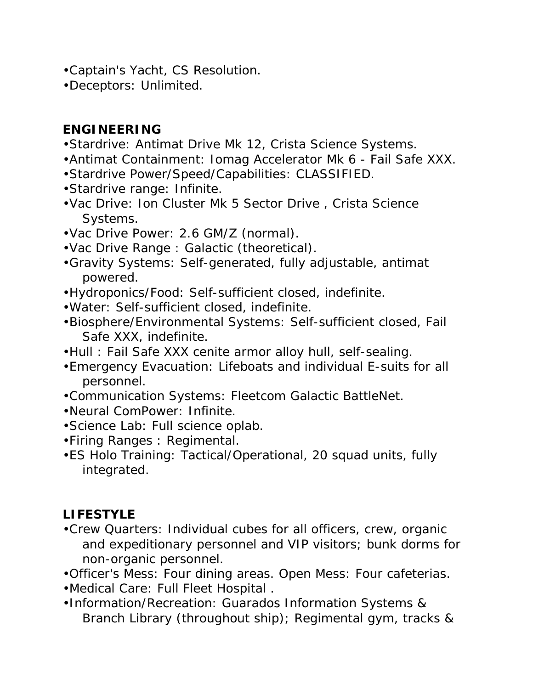- •Captain's Yacht, CS Resolution.
- •Deceptors: Unlimited.

### **ENGINEERING**

- •Stardrive: Antimat Drive Mk 12, Crista Science Systems.
- •Antimat Containment: Iomag Accelerator Mk 6 Fail Safe XXX.
- •Stardrive Power/Speed/Capabilities: CLASSIFIED.
- •Stardrive range: Infinite.
- •Vac Drive: Ion Cluster Mk 5 Sector Drive , Crista Science Systems.
- •Vac Drive Power: 2.6 GM/Z (normal).
- •Vac Drive Range : Galactic (theoretical).
- •Gravity Systems: Self-generated, fully adjustable, antimat powered.
- •Hydroponics/Food: Self-sufficient closed, indefinite.
- •Water: Self-sufficient closed, indefinite.
- •Biosphere/Environmental Systems: Self-sufficient closed, Fail Safe XXX, indefinite.
- •Hull : Fail Safe XXX cenite armor alloy hull, self-sealing.
- •Emergency Evacuation: Lifeboats and individual E-suits for all personnel.
- •Communication Systems: Fleetcom Galactic BattleNet.
- •Neural ComPower: Infinite.
- •Science Lab: Full science oplab.
- •Firing Ranges : Regimental.
- •ES Holo Training: Tactical/Operational, 20 squad units, fully integrated.

# **LIFESTYLE**

- •Crew Quarters: Individual cubes for all officers, crew, organic and expeditionary personnel and VIP visitors; bunk dorms for non-organic personnel.
- •Officer's Mess: Four dining areas. Open Mess: Four cafeterias.
- •Medical Care: Full Fleet Hospital .
- •Information/Recreation: Guarados Information Systems & Branch Library (throughout ship); Regimental gym, tracks &